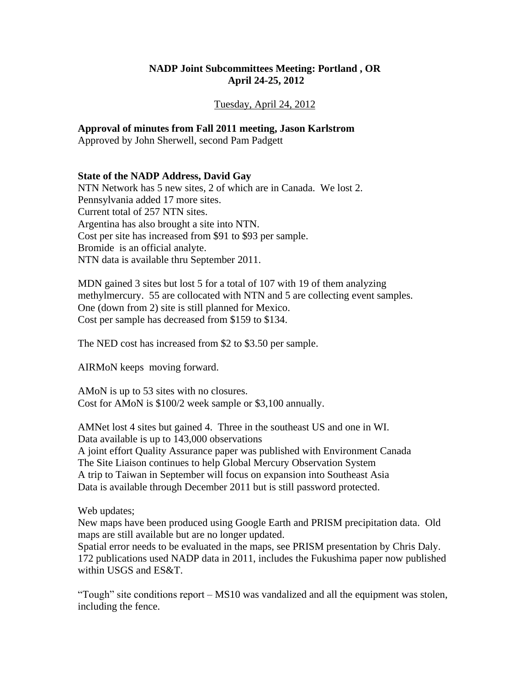### **NADP Joint Subcommittees Meeting: Portland , OR April 24-25, 2012**

#### Tuesday, April 24, 2012

#### **Approval of minutes from Fall 2011 meeting, Jason Karlstrom**

Approved by John Sherwell, second Pam Padgett

#### **State of the NADP Address, David Gay**

NTN Network has 5 new sites, 2 of which are in Canada. We lost 2. Pennsylvania added 17 more sites. Current total of 257 NTN sites. Argentina has also brought a site into NTN. Cost per site has increased from \$91 to \$93 per sample. Bromide is an official analyte. NTN data is available thru September 2011.

MDN gained 3 sites but lost 5 for a total of 107 with 19 of them analyzing methylmercury. 55 are collocated with NTN and 5 are collecting event samples. One (down from 2) site is still planned for Mexico. Cost per sample has decreased from \$159 to \$134.

The NED cost has increased from \$2 to \$3.50 per sample.

AIRMoN keeps moving forward.

AMoN is up to 53 sites with no closures. Cost for AMoN is \$100/2 week sample or \$3,100 annually.

AMNet lost 4 sites but gained 4. Three in the southeast US and one in WI. Data available is up to 143,000 observations A joint effort Quality Assurance paper was published with Environment Canada

The Site Liaison continues to help Global Mercury Observation System A trip to Taiwan in September will focus on expansion into Southeast Asia Data is available through December 2011 but is still password protected.

Web updates;

New maps have been produced using Google Earth and PRISM precipitation data. Old maps are still available but are no longer updated.

Spatial error needs to be evaluated in the maps, see PRISM presentation by Chris Daly. 172 publications used NADP data in 2011, includes the Fukushima paper now published within USGS and ES&T.

"Tough" site conditions report – MS10 was vandalized and all the equipment was stolen, including the fence.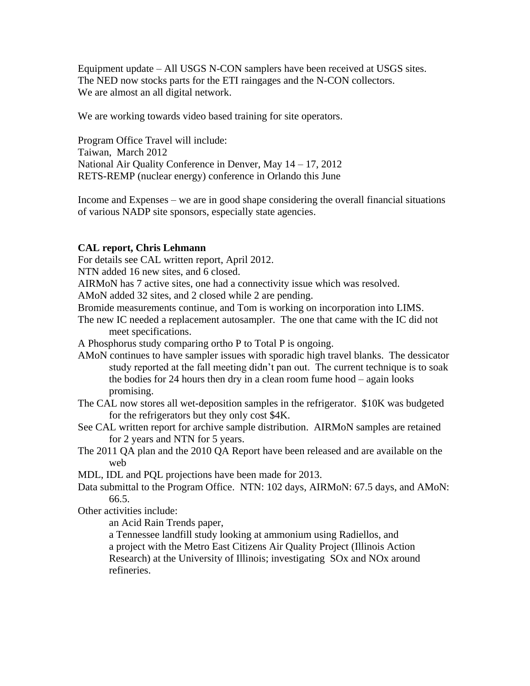Equipment update – All USGS N-CON samplers have been received at USGS sites. The NED now stocks parts for the ETI raingages and the N-CON collectors. We are almost an all digital network.

We are working towards video based training for site operators.

Program Office Travel will include: Taiwan, March 2012 National Air Quality Conference in Denver, May 14 – 17, 2012 RETS-REMP (nuclear energy) conference in Orlando this June

Income and Expenses – we are in good shape considering the overall financial situations of various NADP site sponsors, especially state agencies.

#### **CAL report, Chris Lehmann**

For details see CAL written report, April 2012.

NTN added 16 new sites, and 6 closed.

AIRMoN has 7 active sites, one had a connectivity issue which was resolved.

AMoN added 32 sites, and 2 closed while 2 are pending.

Bromide measurements continue, and Tom is working on incorporation into LIMS.

The new IC needed a replacement autosampler. The one that came with the IC did not meet specifications.

A Phosphorus study comparing ortho P to Total P is ongoing.

- AMoN continues to have sampler issues with sporadic high travel blanks. The dessicator study reported at the fall meeting didn't pan out. The current technique is to soak the bodies for 24 hours then dry in a clean room fume hood – again looks promising.
- The CAL now stores all wet-deposition samples in the refrigerator. \$10K was budgeted for the refrigerators but they only cost \$4K.
- See CAL written report for archive sample distribution. AIRMoN samples are retained for 2 years and NTN for 5 years.
- The 2011 QA plan and the 2010 QA Report have been released and are available on the web

MDL, IDL and PQL projections have been made for 2013.

Data submittal to the Program Office. NTN: 102 days, AIRMoN: 67.5 days, and AMoN: 66.5.

Other activities include:

an Acid Rain Trends paper,

a Tennessee landfill study looking at ammonium using Radiellos, and a project with the Metro East Citizens Air Quality Project (Illinois Action Research) at the University of Illinois; investigating SOx and NOx around refineries.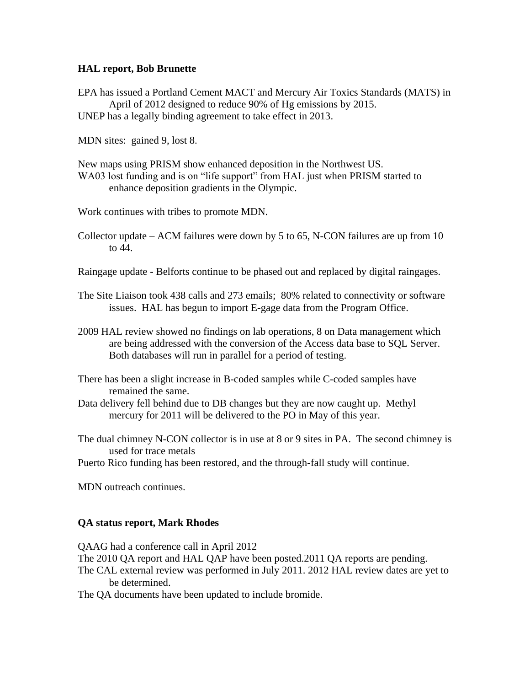### **HAL report, Bob Brunette**

EPA has issued a Portland Cement MACT and Mercury Air Toxics Standards (MATS) in April of 2012 designed to reduce 90% of Hg emissions by 2015. UNEP has a legally binding agreement to take effect in 2013.

MDN sites: gained 9, lost 8.

New maps using PRISM show enhanced deposition in the Northwest US. WA03 lost funding and is on "life support" from HAL just when PRISM started to enhance deposition gradients in the Olympic.

Work continues with tribes to promote MDN.

Collector update – ACM failures were down by 5 to 65, N-CON failures are up from 10 to 44.

Raingage update - Belforts continue to be phased out and replaced by digital raingages.

The Site Liaison took 438 calls and 273 emails; 80% related to connectivity or software issues. HAL has begun to import E-gage data from the Program Office.

- 2009 HAL review showed no findings on lab operations, 8 on Data management which are being addressed with the conversion of the Access data base to SQL Server. Both databases will run in parallel for a period of testing.
- There has been a slight increase in B-coded samples while C-coded samples have remained the same.
- Data delivery fell behind due to DB changes but they are now caught up. Methyl mercury for 2011 will be delivered to the PO in May of this year.

The dual chimney N-CON collector is in use at 8 or 9 sites in PA. The second chimney is used for trace metals

Puerto Rico funding has been restored, and the through-fall study will continue.

MDN outreach continues.

### **QA status report, Mark Rhodes**

QAAG had a conference call in April 2012 The 2010 QA report and HAL QAP have been posted.2011 QA reports are pending. The CAL external review was performed in July 2011. 2012 HAL review dates are yet to be determined. The QA documents have been updated to include bromide.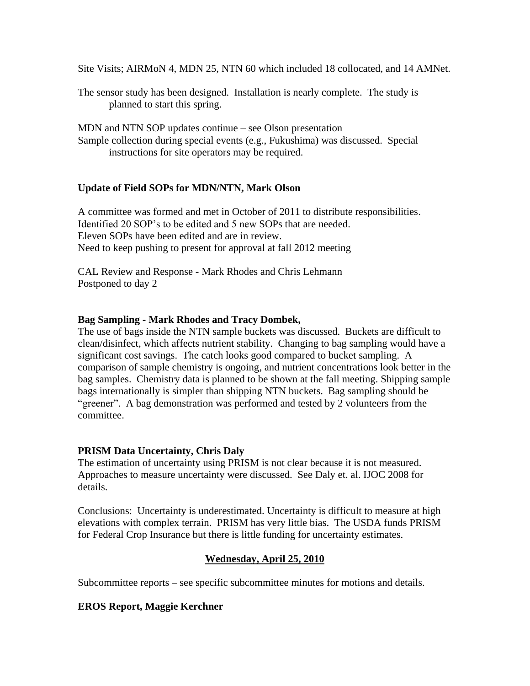Site Visits; AIRMoN 4, MDN 25, NTN 60 which included 18 collocated, and 14 AMNet.

The sensor study has been designed. Installation is nearly complete. The study is planned to start this spring.

MDN and NTN SOP updates continue – see Olson presentation Sample collection during special events (e.g., Fukushima) was discussed. Special instructions for site operators may be required.

### **Update of Field SOPs for MDN/NTN, Mark Olson**

A committee was formed and met in October of 2011 to distribute responsibilities. Identified 20 SOP's to be edited and 5 new SOPs that are needed. Eleven SOPs have been edited and are in review. Need to keep pushing to present for approval at fall 2012 meeting

CAL Review and Response - Mark Rhodes and Chris Lehmann Postponed to day 2

### **Bag Sampling - Mark Rhodes and Tracy Dombek,**

The use of bags inside the NTN sample buckets was discussed. Buckets are difficult to clean/disinfect, which affects nutrient stability. Changing to bag sampling would have a significant cost savings. The catch looks good compared to bucket sampling. A comparison of sample chemistry is ongoing, and nutrient concentrations look better in the bag samples. Chemistry data is planned to be shown at the fall meeting. Shipping sample bags internationally is simpler than shipping NTN buckets. Bag sampling should be "greener". A bag demonstration was performed and tested by 2 volunteers from the committee.

### **PRISM Data Uncertainty, Chris Daly**

The estimation of uncertainty using PRISM is not clear because it is not measured. Approaches to measure uncertainty were discussed. See Daly et. al. IJOC 2008 for details.

Conclusions: Uncertainty is underestimated. Uncertainty is difficult to measure at high elevations with complex terrain. PRISM has very little bias. The USDA funds PRISM for Federal Crop Insurance but there is little funding for uncertainty estimates.

# **Wednesday, April 25, 2010**

Subcommittee reports – see specific subcommittee minutes for motions and details.

### **EROS Report, Maggie Kerchner**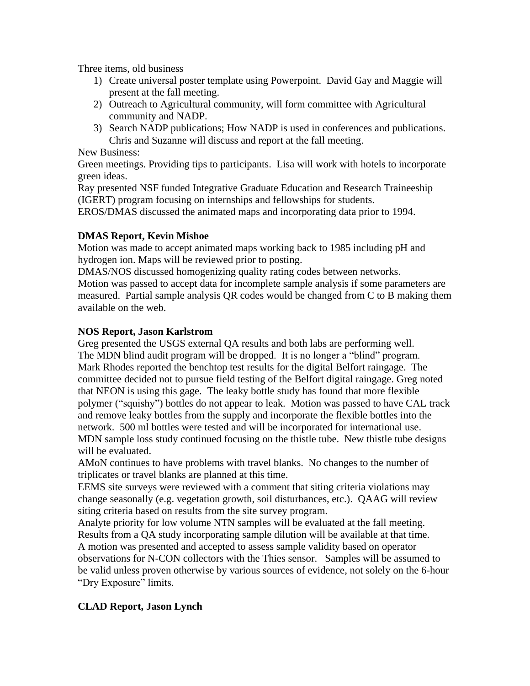Three items, old business

- 1) Create universal poster template using Powerpoint. David Gay and Maggie will present at the fall meeting.
- 2) Outreach to Agricultural community, will form committee with Agricultural community and NADP.
- 3) Search NADP publications; How NADP is used in conferences and publications. Chris and Suzanne will discuss and report at the fall meeting.

New Business:

Green meetings. Providing tips to participants. Lisa will work with hotels to incorporate green ideas.

Ray presented NSF funded Integrative Graduate Education and Research Traineeship (IGERT) program focusing on internships and fellowships for students.

EROS/DMAS discussed the animated maps and incorporating data prior to 1994.

# **DMAS Report, Kevin Mishoe**

Motion was made to accept animated maps working back to 1985 including pH and hydrogen ion. Maps will be reviewed prior to posting.

DMAS/NOS discussed homogenizing quality rating codes between networks.

Motion was passed to accept data for incomplete sample analysis if some parameters are measured. Partial sample analysis QR codes would be changed from C to B making them available on the web.

# **NOS Report, Jason Karlstrom**

Greg presented the USGS external QA results and both labs are performing well. The MDN blind audit program will be dropped. It is no longer a "blind" program. Mark Rhodes reported the benchtop test results for the digital Belfort raingage. The committee decided not to pursue field testing of the Belfort digital raingage. Greg noted that NEON is using this gage. The leaky bottle study has found that more flexible polymer ("squishy") bottles do not appear to leak. Motion was passed to have CAL track and remove leaky bottles from the supply and incorporate the flexible bottles into the network. 500 ml bottles were tested and will be incorporated for international use. MDN sample loss study continued focusing on the thistle tube. New thistle tube designs will be evaluated.

AMoN continues to have problems with travel blanks. No changes to the number of triplicates or travel blanks are planned at this time.

EEMS site surveys were reviewed with a comment that siting criteria violations may change seasonally (e.g. vegetation growth, soil disturbances, etc.). QAAG will review siting criteria based on results from the site survey program.

Analyte priority for low volume NTN samples will be evaluated at the fall meeting. Results from a QA study incorporating sample dilution will be available at that time. A motion was presented and accepted to assess sample validity based on operator

observations for N-CON collectors with the Thies sensor. Samples will be assumed to be valid unless proven otherwise by various sources of evidence, not solely on the 6-hour "Dry Exposure" limits.

# **CLAD Report, Jason Lynch**